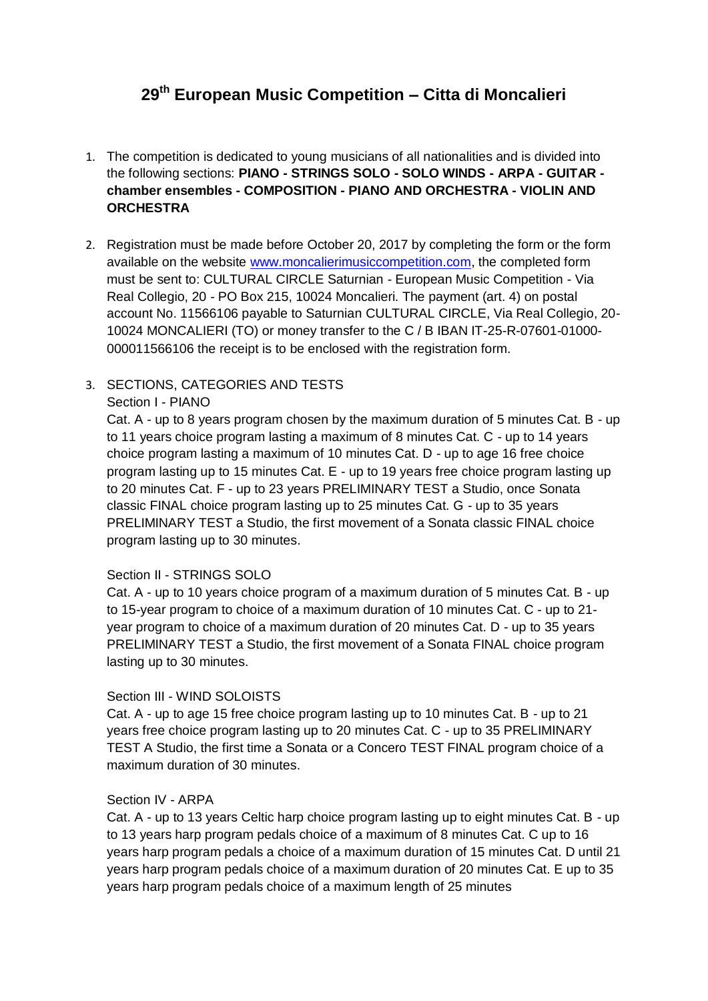# **29th European Music Competition – Citta di Moncalieri**

- 1. The competition is dedicated to young musicians of all nationalities and is divided into the following sections: **PIANO - STRINGS SOLO - SOLO WINDS - ARPA - GUITAR chamber ensembles - COMPOSITION - PIANO AND ORCHESTRA - VIOLIN AND ORCHESTRA**
- 2. Registration must be made before October 20, 2017 by completing the form or the form available on the website [www.moncalierimusiccompetition.com,](http://www.moncalierimusiccompetition.com/) the completed form must be sent to: CULTURAL CIRCLE Saturnian - European Music Competition - Via Real Collegio, 20 - PO Box 215, 10024 Moncalieri. The payment (art. 4) on postal account No. 11566106 payable to Saturnian CULTURAL CIRCLE, Via Real Collegio, 20- 10024 MONCALIERI (TO) or money transfer to the C / B IBAN IT-25-R-07601-01000- 000011566106 the receipt is to be enclosed with the registration form.

## 3. SECTIONS, CATEGORIES AND TESTS Section I - PIANO

Cat. A - up to 8 years program chosen by the maximum duration of 5 minutes Cat. B - up to 11 years choice program lasting a maximum of 8 minutes Cat. C - up to 14 years choice program lasting a maximum of 10 minutes Cat. D - up to age 16 free choice program lasting up to 15 minutes Cat. E - up to 19 years free choice program lasting up to 20 minutes Cat. F - up to 23 years PRELIMINARY TEST a Studio, once Sonata classic FINAL choice program lasting up to 25 minutes Cat. G - up to 35 years PRELIMINARY TEST a Studio, the first movement of a Sonata classic FINAL choice program lasting up to 30 minutes.

## Section II - STRINGS SOLO

Cat. A - up to 10 years choice program of a maximum duration of 5 minutes Cat. B - up to 15-year program to choice of a maximum duration of 10 minutes Cat. C - up to 21 year program to choice of a maximum duration of 20 minutes Cat. D - up to 35 years PRELIMINARY TEST a Studio, the first movement of a Sonata FINAL choice program lasting up to 30 minutes.

## Section III - WIND SOLOISTS

Cat. A - up to age 15 free choice program lasting up to 10 minutes Cat. B - up to 21 years free choice program lasting up to 20 minutes Cat. C - up to 35 PRELIMINARY TEST A Studio, the first time a Sonata or a Concero TEST FINAL program choice of a maximum duration of 30 minutes.

## Section IV - ARPA

Cat. A - up to 13 years Celtic harp choice program lasting up to eight minutes Cat. B - up to 13 years harp program pedals choice of a maximum of 8 minutes Cat. C up to 16 years harp program pedals a choice of a maximum duration of 15 minutes Cat. D until 21 years harp program pedals choice of a maximum duration of 20 minutes Cat. E up to 35 years harp program pedals choice of a maximum length of 25 minutes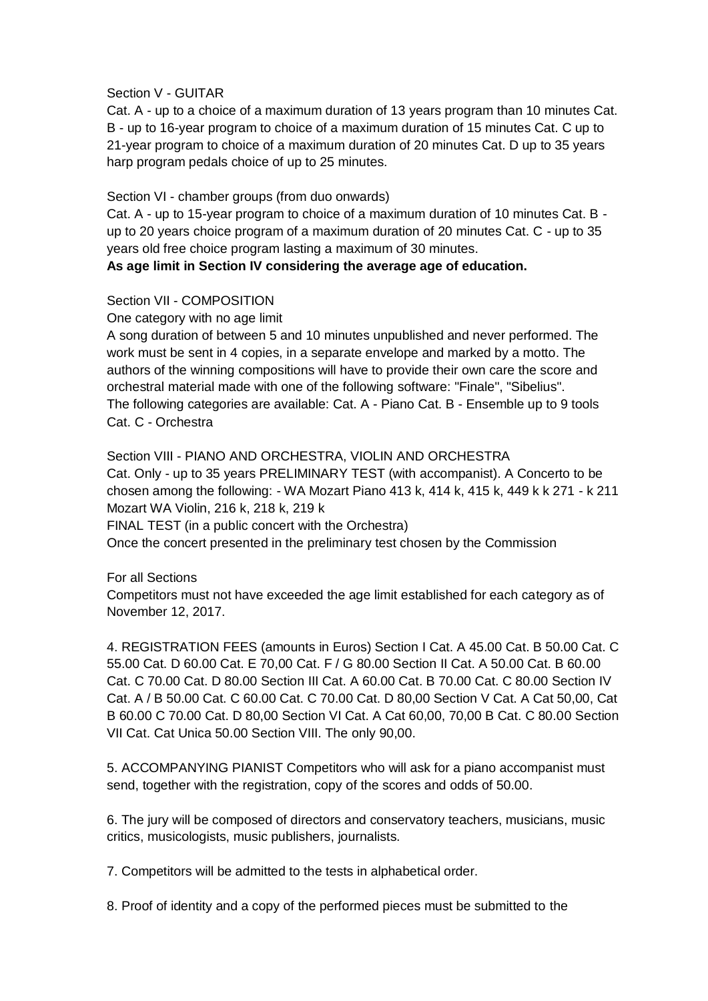#### Section V - GUITAR

Cat. A - up to a choice of a maximum duration of 13 years program than 10 minutes Cat. B - up to 16-year program to choice of a maximum duration of 15 minutes Cat. C up to 21-year program to choice of a maximum duration of 20 minutes Cat. D up to 35 years harp program pedals choice of up to 25 minutes.

Section VI - chamber groups (from duo onwards)

Cat. A - up to 15-year program to choice of a maximum duration of 10 minutes Cat. B up to 20 years choice program of a maximum duration of 20 minutes Cat. C - up to 35 years old free choice program lasting a maximum of 30 minutes.

**As age limit in Section IV considering the average age of education.**

#### Section VII - COMPOSITION

One category with no age limit

A song duration of between 5 and 10 minutes unpublished and never performed. The work must be sent in 4 copies, in a separate envelope and marked by a motto. The authors of the winning compositions will have to provide their own care the score and orchestral material made with one of the following software: "Finale", "Sibelius". The following categories are available: Cat. A - Piano Cat. B - Ensemble up to 9 tools Cat. C - Orchestra

Section VIII - PIANO AND ORCHESTRA, VIOLIN AND ORCHESTRA Cat. Only - up to 35 years PRELIMINARY TEST (with accompanist). A Concerto to be chosen among the following: - WA Mozart Piano 413 k, 414 k, 415 k, 449 k k 271 - k 211 Mozart WA Violin, 216 k, 218 k, 219 k

FINAL TEST (in a public concert with the Orchestra)

Once the concert presented in the preliminary test chosen by the Commission

#### For all Sections

Competitors must not have exceeded the age limit established for each category as of November 12, 2017.

4. REGISTRATION FEES (amounts in Euros) Section I Cat. A 45.00 Cat. B 50.00 Cat. C 55.00 Cat. D 60.00 Cat. E 70,00 Cat. F / G 80.00 Section II Cat. A 50.00 Cat. B 60.00 Cat. C 70.00 Cat. D 80.00 Section III Cat. A 60.00 Cat. B 70.00 Cat. C 80.00 Section IV Cat. A / B 50.00 Cat. C 60.00 Cat. C 70.00 Cat. D 80,00 Section V Cat. A Cat 50,00, Cat B 60.00 C 70.00 Cat. D 80,00 Section VI Cat. A Cat 60,00, 70,00 B Cat. C 80.00 Section VII Cat. Cat Unica 50.00 Section VIII. The only 90,00.

5. ACCOMPANYING PIANIST Competitors who will ask for a piano accompanist must send, together with the registration, copy of the scores and odds of 50.00.

6. The jury will be composed of directors and conservatory teachers, musicians, music critics, musicologists, music publishers, journalists.

7. Competitors will be admitted to the tests in alphabetical order.

8. Proof of identity and a copy of the performed pieces must be submitted to the